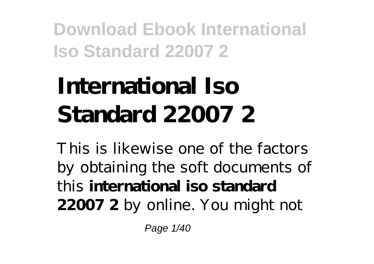# **International Iso Standard 22007 2**

This is likewise one of the factors by obtaining the soft documents of this **international iso standard 22007 2** by online. You might not

Page 1/40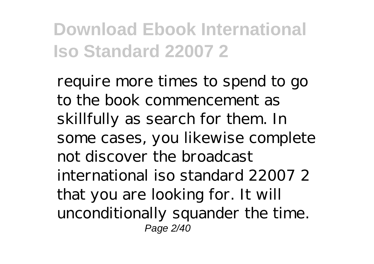require more times to spend to go to the book commencement as skillfully as search for them. In some cases, you likewise complete not discover the broadcast international iso standard 22007 2 that you are looking for. It will unconditionally squander the time. Page 2/40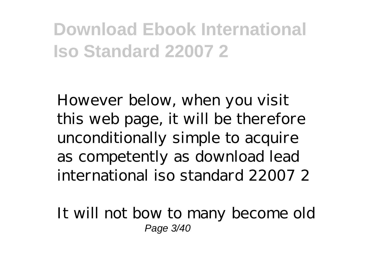However below, when you visit this web page, it will be therefore unconditionally simple to acquire as competently as download lead international iso standard 22007 2

It will not bow to many become old Page 3/40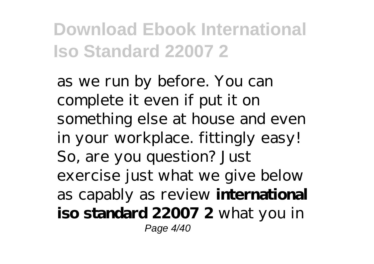as we run by before. You can complete it even if put it on something else at house and even in your workplace. fittingly easy! So, are you question? Just exercise just what we give below as capably as review **international iso standard 22007 2** what you in Page 4/40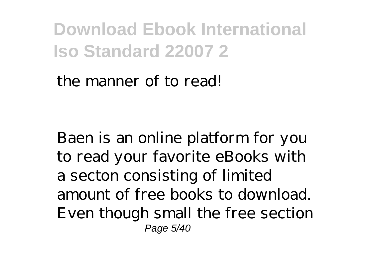#### the manner of to read!

Baen is an online platform for you to read your favorite eBooks with a secton consisting of limited amount of free books to download. Even though small the free section Page 5/40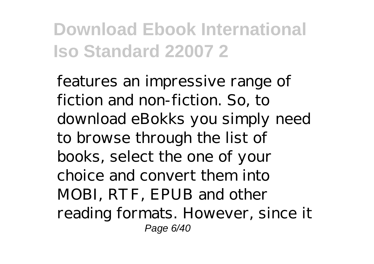features an impressive range of fiction and non-fiction. So, to download eBokks you simply need to browse through the list of books, select the one of your choice and convert them into MOBI, RTF, EPUB and other reading formats. However, since it Page 6/40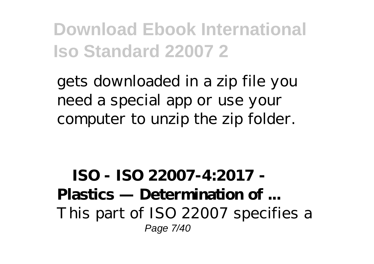gets downloaded in a zip file you need a special app or use your computer to unzip the zip folder.

**ISO - ISO 22007-4:2017 - Plastics — Determination of ...** This part of ISO 22007 specifies a Page 7/40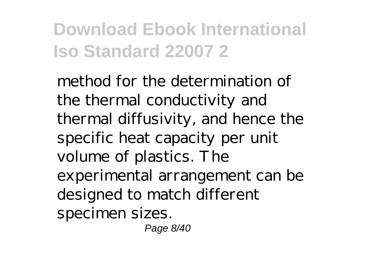method for the determination of the thermal conductivity and thermal diffusivity, and hence the specific heat capacity per unit volume of plastics. The experimental arrangement can be designed to match different specimen sizes.

Page 8/40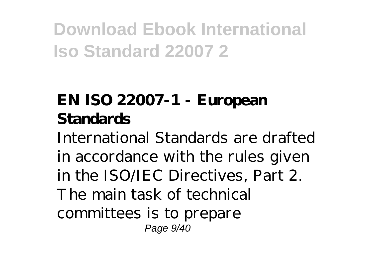#### **EN ISO 22007-1 - European Standards**

International Standards are drafted in accordance with the rules given in the ISO/IEC Directives, Part 2. The main task of technical committees is to prepare Page 9/40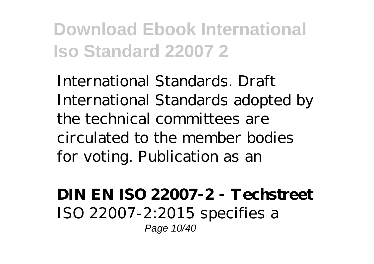International Standards. Draft International Standards adopted by the technical committees are circulated to the member bodies for voting. Publication as an

**DIN EN ISO 22007-2 - Techstreet** ISO 22007-2:2015 specifies a Page 10/40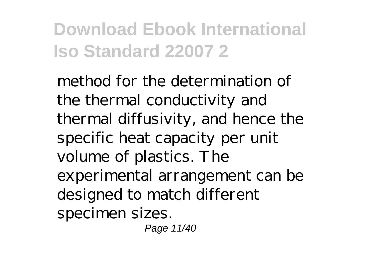method for the determination of the thermal conductivity and thermal diffusivity, and hence the specific heat capacity per unit volume of plastics. The experimental arrangement can be designed to match different specimen sizes.

Page 11/40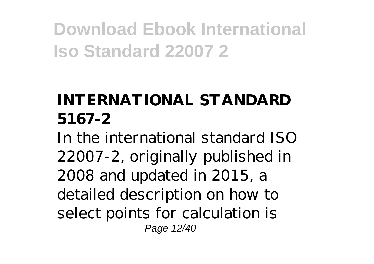#### **INTERNATIONAL STANDARD 5167-2**

In the international standard ISO 22007-2, originally published in 2008 and updated in 2015, a detailed description on how to select points for calculation is Page 12/40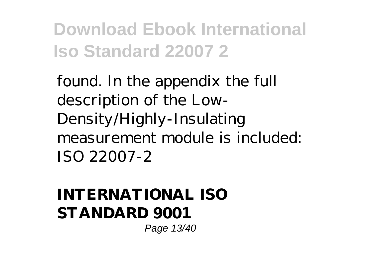found. In the appendix the full description of the Low-Density/Highly-Insulating measurement module is included: ISO 22007-2

#### **INTERNATIONAL ISO STANDARD 9001**

Page 13/40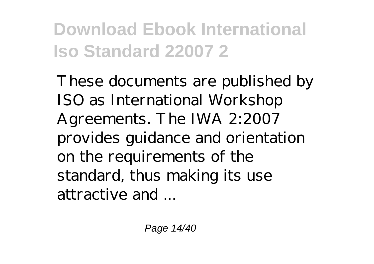These documents are published by ISO as International Workshop Agreements. The IWA 2:2007 provides guidance and orientation on the requirements of the standard, thus making its use attractive and ...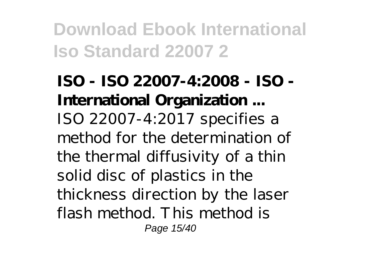**ISO - ISO 22007-4:2008 - ISO - International Organization ...** ISO 22007-4:2017 specifies a method for the determination of the thermal diffusivity of a thin solid disc of plastics in the thickness direction by the laser flash method. This method is Page 15/40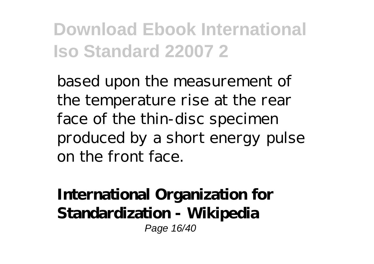based upon the measurement of the temperature rise at the rear face of the thin-disc specimen produced by a short energy pulse on the front face.

**International Organization for Standardization - Wikipedia** Page 16/40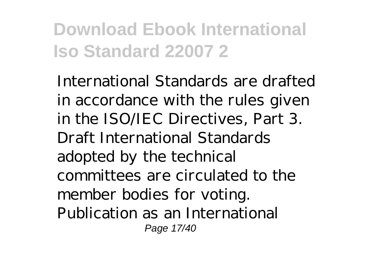International Standards are drafted in accordance with the rules given in the ISO/IEC Directives, Part 3. Draft International Standards adopted by the technical committees are circulated to the member bodies for voting. Publication as an International Page 17/40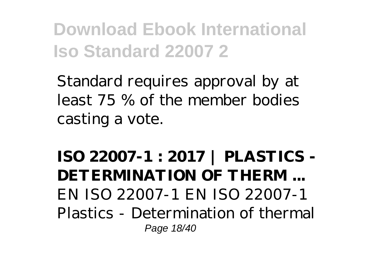Standard requires approval by at least 75 % of the member bodies casting a vote.

**ISO 22007-1 : 2017 | PLASTICS - DETERMINATION OF THERM ...** EN ISO 22007-1 EN ISO 22007-1 Plastics - Determination of thermal Page 18/40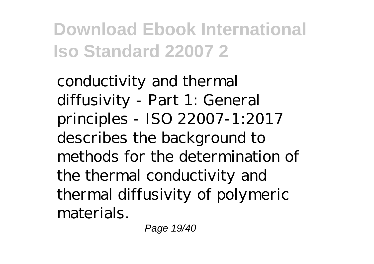conductivity and thermal diffusivity - Part 1: General principles - ISO 22007-1:2017 describes the background to methods for the determination of the thermal conductivity and thermal diffusivity of polymeric materials.

Page 19/40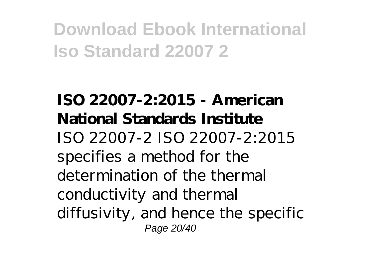**ISO 22007-2:2015 - American National Standards Institute** ISO 22007-2 ISO 22007-2:2015 specifies a method for the determination of the thermal conductivity and thermal diffusivity, and hence the specific Page 20/40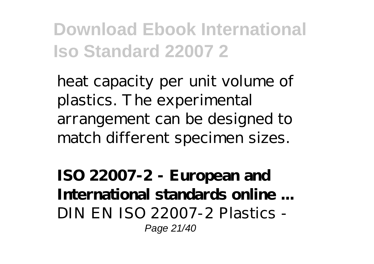heat capacity per unit volume of plastics. The experimental arrangement can be designed to match different specimen sizes.

**ISO 22007-2 - European and International standards online ...** DIN EN ISO 22007-2 Plastics - Page 21/40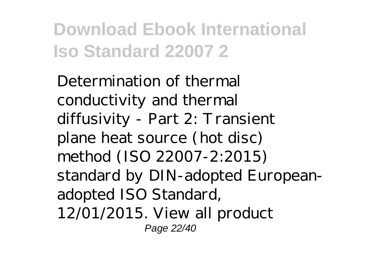Determination of thermal conductivity and thermal diffusivity - Part 2: Transient plane heat source (hot disc) method (ISO 22007-2:2015) standard by DIN-adopted Europeanadopted ISO Standard, 12/01/2015. View all product Page 22/40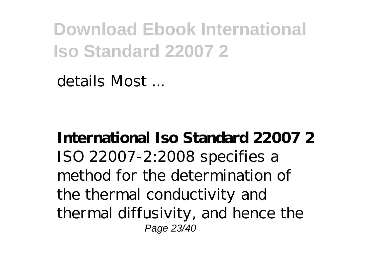details Most ...

**International Iso Standard 22007 2** ISO 22007-2:2008 specifies a method for the determination of the thermal conductivity and thermal diffusivity, and hence the Page 23/40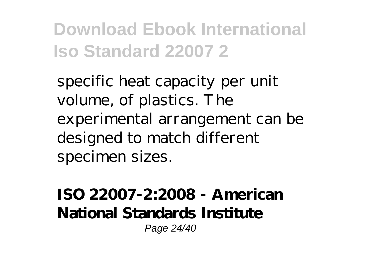specific heat capacity per unit volume, of plastics. The experimental arrangement can be designed to match different specimen sizes.

**ISO 22007-2:2008 - American National Standards Institute** Page 24/40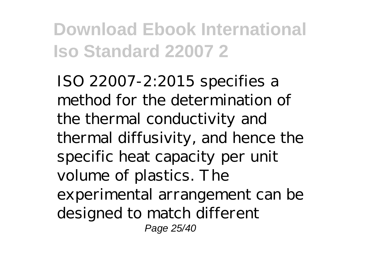ISO 22007-2:2015 specifies a method for the determination of the thermal conductivity and thermal diffusivity, and hence the specific heat capacity per unit volume of plastics. The experimental arrangement can be designed to match different Page 25/40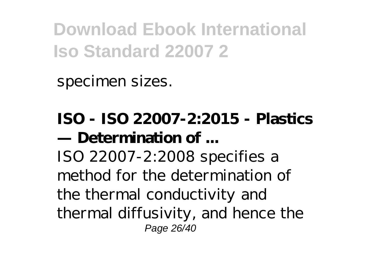specimen sizes.

**ISO - ISO 22007-2:2015 - Plastics — Determination of ...** ISO 22007-2:2008 specifies a method for the determination of the thermal conductivity and thermal diffusivity, and hence the Page 26/40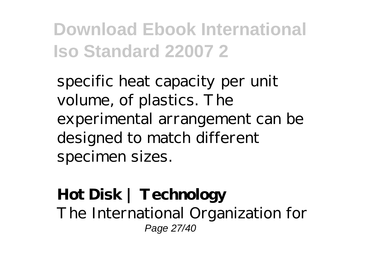specific heat capacity per unit volume, of plastics. The experimental arrangement can be designed to match different specimen sizes.

#### **Hot Disk | Technology** The International Organization for Page 27/40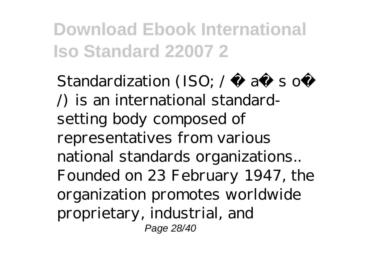Standardization (ISO;  $/$  a so  $\land$  is an international standardsetting body composed of representatives from various national standards organizations.. Founded on 23 February 1947, the organization promotes worldwide proprietary, industrial, and Page 28/40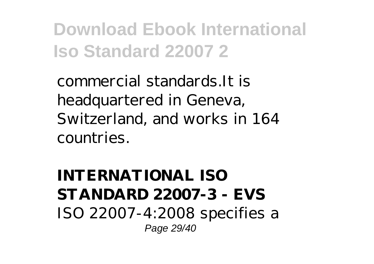commercial standards.It is headquartered in Geneva, Switzerland, and works in 164 countries.

**INTERNATIONAL ISO STANDARD 22007-3 - EVS** ISO 22007-4:2008 specifies a Page 29/40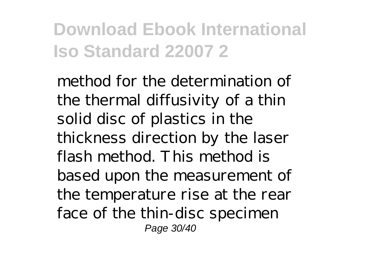method for the determination of the thermal diffusivity of a thin solid disc of plastics in the thickness direction by the laser flash method. This method is based upon the measurement of the temperature rise at the rear face of the thin-disc specimen Page 30/40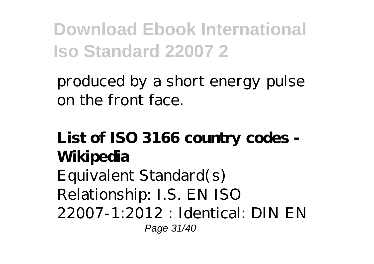produced by a short energy pulse on the front face.

#### **List of ISO 3166 country codes - Wikipedia** Equivalent Standard(s)

Relationship: I.S. EN ISO 22007-1:2012 : Identical: DIN EN Page 31/40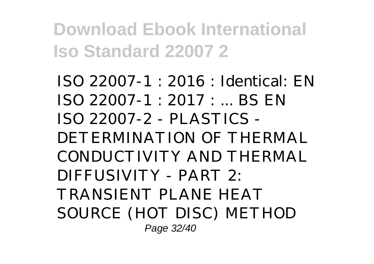ISO 22007-1 : 2016 : Identical: EN ISO 22007-1 : 2017 : ... BS EN ISO 22007-2 - PLASTICS - DETERMINATION OF THERMAL CONDUCTIVITY AND THERMAL DIFFUSIVITY - PART 2: TRANSIENT PLANE HEAT SOURCE (HOT DISC) METHOD Page 32/40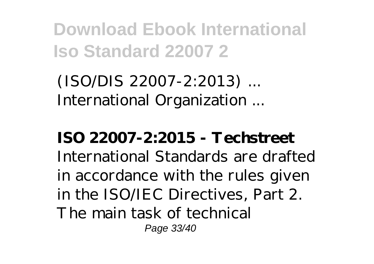(ISO/DIS 22007-2:2013) ... International Organization ...

**ISO 22007-2:2015 - Techstreet** International Standards are drafted in accordance with the rules given in the ISO/IEC Directives, Part 2. The main task of technical Page 33/40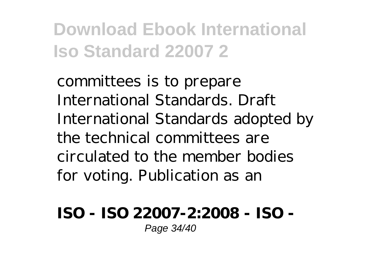committees is to prepare International Standards. Draft International Standards adopted by the technical committees are circulated to the member bodies for voting. Publication as an

**ISO - ISO 22007-2:2008 - ISO -** Page 34/40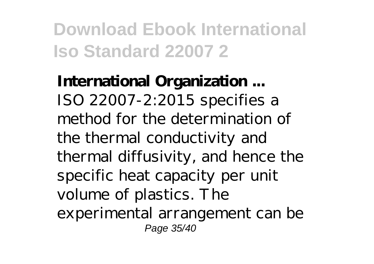**International Organization ...** ISO 22007-2:2015 specifies a method for the determination of the thermal conductivity and thermal diffusivity, and hence the specific heat capacity per unit volume of plastics. The experimental arrangement can be Page 35/40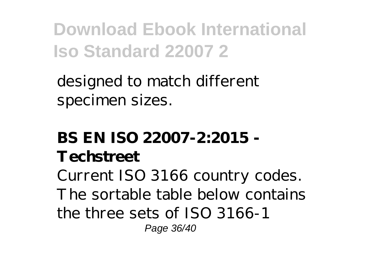designed to match different specimen sizes.

#### **BS EN ISO 22007-2:2015 - Techstreet**

Current ISO 3166 country codes. The sortable table below contains the three sets of ISO 3166-1 Page 36/40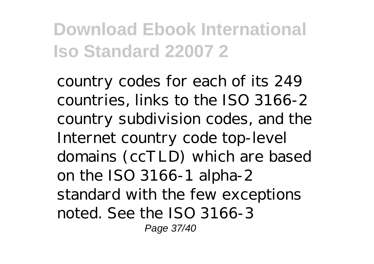country codes for each of its 249 countries, links to the ISO 3166-2 country subdivision codes, and the Internet country code top-level domains (ccTLD) which are based on the ISO 3166-1 alpha-2 standard with the few exceptions noted. See the ISO 3166-3 Page 37/40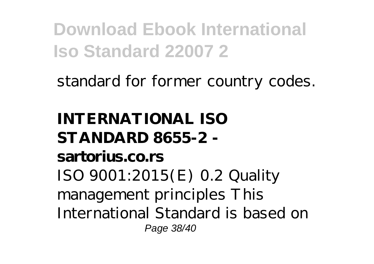standard for former country codes.

**INTERNATIONAL ISO STANDARD 8655-2 sartorius.co.rs** ISO 9001:2015(E) 0.2 Quality management principles This International Standard is based on Page 38/40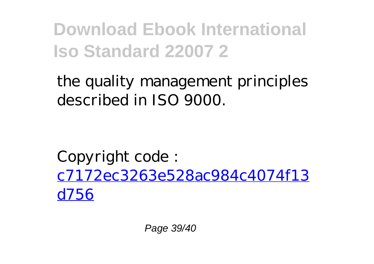the quality management principles described in ISO 9000.

Copyright code : [c7172ec3263e528ac984c4074f13](/search-book/c7172ec3263e528ac984c4074f13d756) [d756](/search-book/c7172ec3263e528ac984c4074f13d756)

Page 39/40